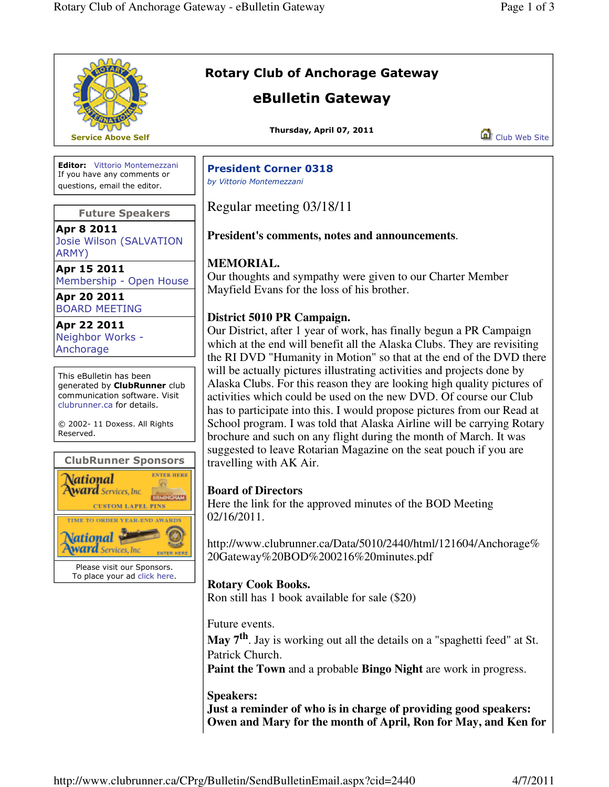|                                                                                                                                                                                                                                  | <b>Rotary Club of Anchorage Gateway</b><br>eBulletin Gateway                                                                                                                                                                                                                                                                                                                                                                                                                                                                                     |               |  |
|----------------------------------------------------------------------------------------------------------------------------------------------------------------------------------------------------------------------------------|--------------------------------------------------------------------------------------------------------------------------------------------------------------------------------------------------------------------------------------------------------------------------------------------------------------------------------------------------------------------------------------------------------------------------------------------------------------------------------------------------------------------------------------------------|---------------|--|
| <b>Service Above Self</b>                                                                                                                                                                                                        | Thursday, April 07, 2011                                                                                                                                                                                                                                                                                                                                                                                                                                                                                                                         | Club Web Site |  |
| <b>Editor:</b> Vittorio Montemezzani<br>If you have any comments or<br>questions, email the editor.                                                                                                                              | <b>President Corner 0318</b><br>by Vittorio Montemezzani                                                                                                                                                                                                                                                                                                                                                                                                                                                                                         |               |  |
| <b>Future Speakers</b>                                                                                                                                                                                                           | Regular meeting 03/18/11                                                                                                                                                                                                                                                                                                                                                                                                                                                                                                                         |               |  |
| Apr 8 2011<br>Josie Wilson (SALVATION<br>ARMY)                                                                                                                                                                                   | <b>President's comments, notes and announcements.</b>                                                                                                                                                                                                                                                                                                                                                                                                                                                                                            |               |  |
| Apr 15 2011<br>Membership - Open House<br>Apr 20 2011                                                                                                                                                                            | <b>MEMORIAL.</b><br>Our thoughts and sympathy were given to our Charter Member<br>Mayfield Evans for the loss of his brother.<br>District 5010 PR Campaign.<br>Our District, after 1 year of work, has finally begun a PR Campaign<br>which at the end will benefit all the Alaska Clubs. They are revisiting<br>the RI DVD "Humanity in Motion" so that at the end of the DVD there                                                                                                                                                             |               |  |
| <b>BOARD MEETING</b><br>Apr 22 2011<br>Neighbor Works -<br>Anchorage                                                                                                                                                             |                                                                                                                                                                                                                                                                                                                                                                                                                                                                                                                                                  |               |  |
| This eBulletin has been<br>generated by ClubRunner club<br>communication software. Visit<br>clubrunner.ca for details.<br>© 2002-11 Doxess. All Rights<br>Reserved.<br><b>ClubRunner Sponsors</b><br><b>NTER HERE</b><br>ational | will be actually pictures illustrating activities and projects done by<br>Alaska Clubs. For this reason they are looking high quality pictures of<br>activities which could be used on the new DVD. Of course our Club<br>has to participate into this. I would propose pictures from our Read at<br>School program. I was told that Alaska Airline will be carrying Rotary<br>brochure and such on any flight during the month of March. It was<br>suggested to leave Rotarian Magazine on the seat pouch if you are<br>travelling with AK Air. |               |  |
| ward Services, Inc.<br>iirmingham  <br><b>CUSTOM LAPEL PINS</b><br>TIME TO ORDER YEAR-END AWARDS<br>lational<br><b>Ird</b> Services, Inc.<br>Please visit our Sponsors.<br>To place your ad click here.                          | <b>Board of Directors</b><br>Here the link for the approved minutes of the BOD Meeting<br>02/16/2011.<br>http://www.clubrunner.ca/Data/5010/2440/html/121604/Anchorage%<br>20Gateway%20BOD%200216%20minutes.pdf                                                                                                                                                                                                                                                                                                                                  |               |  |
|                                                                                                                                                                                                                                  | <b>Rotary Cook Books.</b><br>Ron still has 1 book available for sale (\$20)                                                                                                                                                                                                                                                                                                                                                                                                                                                                      |               |  |
|                                                                                                                                                                                                                                  | Future events.<br>May 7 <sup>th</sup> . Jay is working out all the details on a "spaghetti feed" at St.<br>Patrick Church.<br><b>Paint the Town and a probable Bingo Night are work in progress.</b>                                                                                                                                                                                                                                                                                                                                             |               |  |
|                                                                                                                                                                                                                                  | <b>Speakers:</b><br>Just a reminder of who is in charge of providing good speakers:<br>Owen and Mary for the month of April, Ron for May, and Ken for                                                                                                                                                                                                                                                                                                                                                                                            |               |  |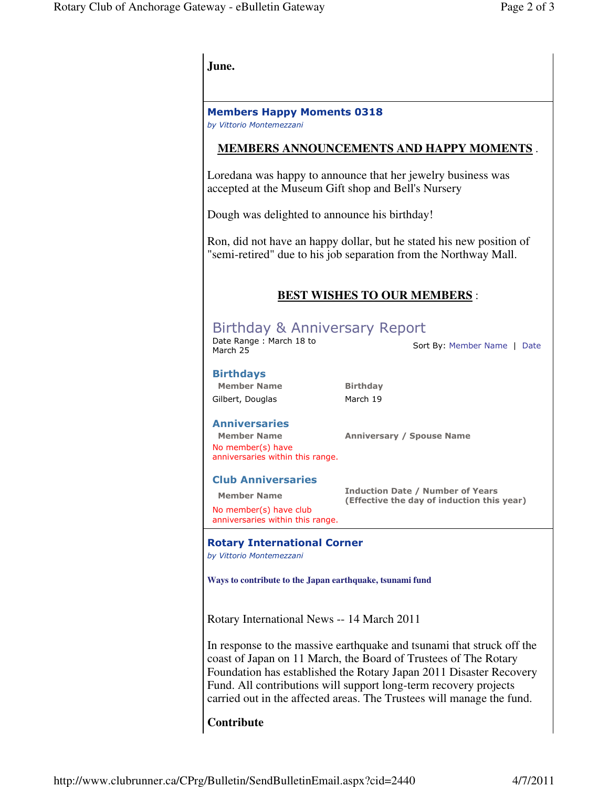| June.                                                                                                                                                                                                                                                                                                                                                       |                                                                                       |  |  |
|-------------------------------------------------------------------------------------------------------------------------------------------------------------------------------------------------------------------------------------------------------------------------------------------------------------------------------------------------------------|---------------------------------------------------------------------------------------|--|--|
| <b>Members Happy Moments 0318</b><br>by Vittorio Montemezzani                                                                                                                                                                                                                                                                                               |                                                                                       |  |  |
| <b>MEMBERS ANNOUNCEMENTS AND HAPPY MOMENTS.</b>                                                                                                                                                                                                                                                                                                             |                                                                                       |  |  |
| Loredana was happy to announce that her jewelry business was<br>accepted at the Museum Gift shop and Bell's Nursery                                                                                                                                                                                                                                         |                                                                                       |  |  |
| Dough was delighted to announce his birthday!                                                                                                                                                                                                                                                                                                               |                                                                                       |  |  |
| Ron, did not have an happy dollar, but he stated his new position of<br>"semi-retired" due to his job separation from the Northway Mall.                                                                                                                                                                                                                    |                                                                                       |  |  |
| <b>BEST WISHES TO OUR MEMBERS:</b>                                                                                                                                                                                                                                                                                                                          |                                                                                       |  |  |
| Birthday & Anniversary Report<br>Date Range: March 18 to<br>Sort By: Member Name   Date<br>March 25                                                                                                                                                                                                                                                         |                                                                                       |  |  |
| <b>Birthdays</b><br><b>Member Name</b><br>Gilbert, Douglas                                                                                                                                                                                                                                                                                                  | <b>Birthday</b><br>March 19                                                           |  |  |
| <b>Anniversaries</b><br><b>Member Name</b><br>No member(s) have<br>anniversaries within this range.                                                                                                                                                                                                                                                         | <b>Anniversary / Spouse Name</b>                                                      |  |  |
| <b>Club Anniversaries</b><br><b>Member Name</b><br>No member(s) have club<br>anniversaries within this range.                                                                                                                                                                                                                                               | <b>Induction Date / Number of Years</b><br>(Effective the day of induction this year) |  |  |
| <b>Rotary International Corner</b><br>by Vittorio Montemezzani                                                                                                                                                                                                                                                                                              |                                                                                       |  |  |
| Ways to contribute to the Japan earthquake, tsunami fund                                                                                                                                                                                                                                                                                                    |                                                                                       |  |  |
| Rotary International News -- 14 March 2011                                                                                                                                                                                                                                                                                                                  |                                                                                       |  |  |
| In response to the massive earthquake and tsunami that struck off the<br>coast of Japan on 11 March, the Board of Trustees of The Rotary<br>Foundation has established the Rotary Japan 2011 Disaster Recovery<br>Fund. All contributions will support long-term recovery projects<br>carried out in the affected areas. The Trustees will manage the fund. |                                                                                       |  |  |
| Contribute                                                                                                                                                                                                                                                                                                                                                  |                                                                                       |  |  |